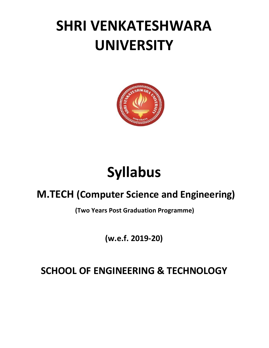## **SHRI VENKATESHWARA UNIVERSITY**



# **Syllabus**

### **M.TECH (Computer Science and Engineering)**

**(Two Years Post Graduation Programme)**

**(w.e.f. 2019-20)**

### **SCHOOL OF ENGINEERING & TECHNOLOGY**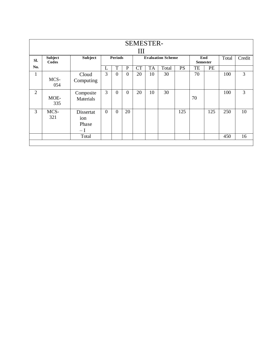| <b>SEMESTER-</b> |                         |                                            |                                                                      |                |                |           |           |       |           |    |     |     |    |
|------------------|-------------------------|--------------------------------------------|----------------------------------------------------------------------|----------------|----------------|-----------|-----------|-------|-----------|----|-----|-----|----|
| Ш                |                         |                                            |                                                                      |                |                |           |           |       |           |    |     |     |    |
| SI.              | <b>Subject</b><br>Codes | Subject                                    | <b>Periods</b><br><b>Evaluation Scheme</b><br>End<br><b>Semester</b> |                |                |           |           | Total | Credit    |    |     |     |    |
| No.              |                         |                                            | L                                                                    | T              | $\mathbf P$    | <b>CT</b> | <b>TA</b> | Total | <b>PS</b> | TE | PE  |     |    |
| $\mathbf{1}$     | MCS-<br>054             | Cloud<br>Computing                         | 3                                                                    | $\overline{0}$ | $\overline{0}$ | 20        | 10        | 30    |           | 70 |     | 100 | 3  |
| $\overline{2}$   | MOE-<br>335             | Composite<br>Materials                     | $\overline{3}$                                                       | $\overline{0}$ | $\overline{0}$ | 20        | 10        | 30    |           | 70 |     | 100 | 3  |
| 3                | MCS-<br>321             | Dissertat<br>ion<br>Phase<br>$-\mathrm{I}$ | $\overline{0}$                                                       | $\overline{0}$ | 20             |           |           |       | 125       |    | 125 | 250 | 10 |
|                  |                         | Total                                      |                                                                      |                |                |           |           |       |           |    |     | 450 | 16 |
|                  |                         |                                            |                                                                      |                |                |           |           |       |           |    |     |     |    |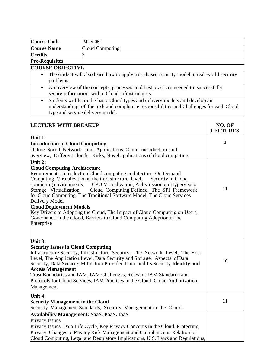| <b>Course Code</b>                                                                                                   | <b>MCS-054</b>                                                                                                           |  |  |  |  |
|----------------------------------------------------------------------------------------------------------------------|--------------------------------------------------------------------------------------------------------------------------|--|--|--|--|
| <b>Course Name</b>                                                                                                   | Cloud Computing                                                                                                          |  |  |  |  |
| <b>Credits</b>                                                                                                       |                                                                                                                          |  |  |  |  |
| <b>Pre-Requisites</b>                                                                                                |                                                                                                                          |  |  |  |  |
| <b>COURSE OBJECTIVE</b>                                                                                              |                                                                                                                          |  |  |  |  |
| The student will also learn how to apply trust-based security model to real-world security<br>$\bullet$<br>problems. |                                                                                                                          |  |  |  |  |
|                                                                                                                      | $\sim$ $\sim$ 1<br>0.11<br>$\mathbf{1}$ $\mathbf{1}$ $\mathbf{1}$<br>이 사이 시간 사이 사이 사이 사이 사이 사이 사이 사이 사이 사이 사이 시간이 되어 있다. |  |  |  |  |

- An overview of the concepts, processes, and best practices needed to successfully secure information within Cloud infrastructures.
- Students will learn the basic Cloud types and delivery models and develop an understanding of the risk and compliance responsibilities and Challenges for each Cloud type and service delivery model.

| <b>LECTURE WITH BREAKUP</b>                                                                                                                                                                                                                                                                                                                                                                                                                                                                                                                                                                                                                      | NO. OF<br><b>LECTURES</b> |
|--------------------------------------------------------------------------------------------------------------------------------------------------------------------------------------------------------------------------------------------------------------------------------------------------------------------------------------------------------------------------------------------------------------------------------------------------------------------------------------------------------------------------------------------------------------------------------------------------------------------------------------------------|---------------------------|
| Unit 1:                                                                                                                                                                                                                                                                                                                                                                                                                                                                                                                                                                                                                                          |                           |
| <b>Introduction to Cloud Computing</b>                                                                                                                                                                                                                                                                                                                                                                                                                                                                                                                                                                                                           | 4                         |
| Online Social Networks and Applications, Cloud introduction and                                                                                                                                                                                                                                                                                                                                                                                                                                                                                                                                                                                  |                           |
| overview, Different clouds, Risks, Novel applications of cloud computing                                                                                                                                                                                                                                                                                                                                                                                                                                                                                                                                                                         |                           |
| Unit 2:                                                                                                                                                                                                                                                                                                                                                                                                                                                                                                                                                                                                                                          |                           |
| <b>Cloud Computing Architecture</b><br>Requirements, Introduction Cloud computing architecture, On Demand<br>Computing Virtualization at the infrastructure level,<br>Security in Cloud<br>computing environments,<br>CPU Virtualization, A discussion on Hypervisors<br>Cloud Computing Defined, The SPI Framework<br>Storage Virtualization<br>for Cloud Computing, The Traditional Software Model, The Cloud Services<br>Delivery Model<br><b>Cloud Deployment Models</b><br>Key Drivers to Adopting the Cloud, The Impact of Cloud Computing on Users,<br>Governance in the Cloud, Barriers to Cloud Computing Adoption in the<br>Enterprise | 11                        |
| Unit 3:<br><b>Security Issues in Cloud Computing</b><br>Infrastructure Security, Infrastructure Security: The Network Level, The Host<br>Level, The Application Level, Data Security and Storage, Aspects of Data<br>Security, Data Security Mitigation Provider Data and Its Security Identity and<br><b>Access Management</b><br>Trust Boundaries and IAM, IAM Challenges, Relevant IAM Standards and<br>Protocols for Cloud Services, IAM Practices in the Cloud, Cloud Authorization<br>Management                                                                                                                                           | 10                        |
| Unit 4:<br><b>Security Management in the Cloud</b><br>Security Management Standards, Security Management in the Cloud,                                                                                                                                                                                                                                                                                                                                                                                                                                                                                                                           | 11                        |
| <b>Availability Management: SaaS, PaaS, IaaS</b><br>Privacy Issues<br>Privacy Issues, Data Life Cycle, Key Privacy Concerns in the Cloud, Protecting<br>Privacy, Changes to Privacy Risk Management and Compliance in Relation to<br>Cloud Computing, Legal and Regulatory Implications, U.S. Laws and Regulations,                                                                                                                                                                                                                                                                                                                              |                           |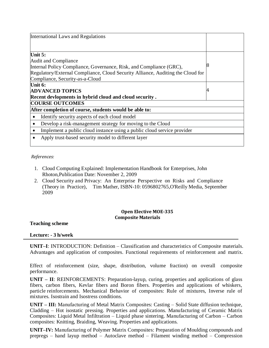| <b>International Laws and Regulations</b>                                            |   |  |  |  |  |
|--------------------------------------------------------------------------------------|---|--|--|--|--|
|                                                                                      |   |  |  |  |  |
| Unit 5:                                                                              |   |  |  |  |  |
| Audit and Compliance                                                                 |   |  |  |  |  |
| Internal Policy Compliance, Governance, Risk, and Compliance (GRC),                  |   |  |  |  |  |
| Regulatory/External Compliance, Cloud Security Alliance, Auditing the Cloud for      |   |  |  |  |  |
| Compliance, Security-as-a-Cloud                                                      |   |  |  |  |  |
| Unit 6:                                                                              |   |  |  |  |  |
| <b>ADVANCED TOPICS</b>                                                               | 4 |  |  |  |  |
| Recent devlopments in hybrid cloud and cloud security.                               |   |  |  |  |  |
| <b>COURSE OUTCOMES</b>                                                               |   |  |  |  |  |
| After completion of course, students would be able to:                               |   |  |  |  |  |
| Identify security aspects of each cloud model<br>$\bullet$                           |   |  |  |  |  |
| Develop a risk-management strategy for moving to the Cloud<br>$\bullet$              |   |  |  |  |  |
| Implement a public cloud instance using a public cloud service provider<br>$\bullet$ |   |  |  |  |  |
| Apply trust-based security model to different layer                                  |   |  |  |  |  |

#### *References:*

- 1. Cloud Computing Explained: Implementation Handbook for Enterprises, John Rhoton,Publication Date: November 2, 2009
- 2. Cloud Security and Privacy: An Enterprise Perspective on Risks and Compliance (Theory in Practice), Tim Mather, ISBN-10: 0596802765,O'Reilly Media, September 2009

#### **Open Elective MOE-335 Composite Materials**

**Teaching scheme**

#### **Lecture: - 3 h/week**

**UNIT–I**: INTRODUCTION: Definition – Classification and characteristics of Composite materials. Advantages and application of composites. Functional requirements of reinforcement and matrix.

Effect of reinforcement (size, shape, distribution, volume fraction) on overall composite performance.

**UNIT – II**: REINFORCEMENTS: Preparation-layup, curing, properties and applications of glass fibers, carbon fibers, Kevlar fibers and Boron fibers. Properties and applications of whiskers, particle reinforcements. Mechanical Behavior of composites: Rule of mixtures, Inverse rule of mixtures. Isostrain and Isostress conditions.

**UNIT – III:** Manufacturing of Metal Matrix Composites: Casting – Solid State diffusion technique, Cladding – Hot isostatic pressing. Properties and applications. Manufacturing of Ceramic Matrix Composites: Liquid Metal Infiltration – Liquid phase sintering. Manufacturing of Carbon – Carbon composites: Knitting, Braiding, Weaving. Properties and applications.

**UNIT–IV:** Manufacturing of Polymer Matrix Composites: Preparation of Moulding compounds and prepregs – hand layup method – Autoclave method – Filament winding method – Compression